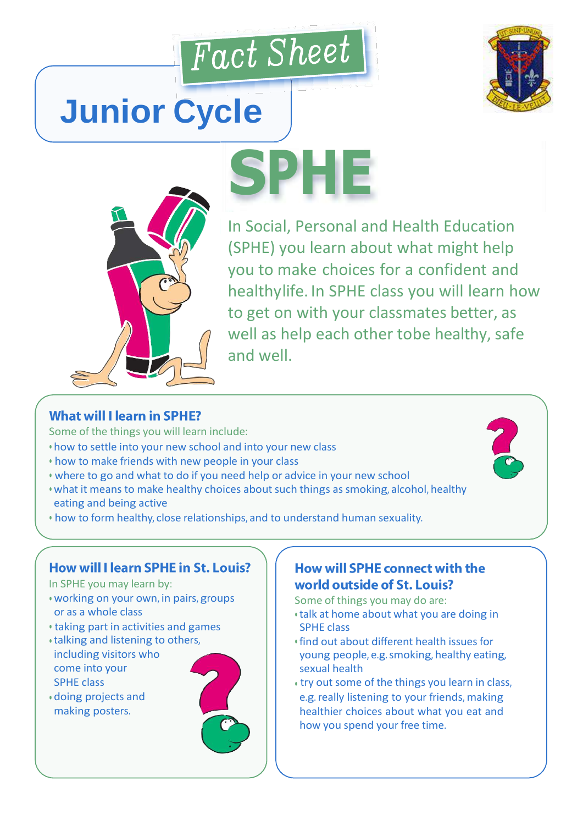

**SPHE**



# **Junior Cycle**



In Social, Personal and Health In Social, Personal and Health Education (SPHE) you learn about what might help you to make choices for a confident and healthylife. In SPHE class you will learn how to get on with your classmates better, as well as help each other tobe healthy, safe and well.

### **What will I learn in SPHE?**

Some of the things you will learn include:

- how to settle into your new school and into your new class
- how to make friends with new people in your class
- where to go and what to do if you need help or advice in your new school
- what it means to make healthy choices about such things as smoking, alcohol, healthy eating and being active
- how to form healthy, close relationships, and to understand human sexuality.

#### How will I learn SPHE in St. Louis?

In SPHE you may learn by:

- working on your own, in pairs, groups or as a whole class
- taking part in activities and games
- talking and listening to others, including visitors who come into your SPHE class
- doing projects and making posters.

## How will SPHE connect with the world outside of St. Louis?

Some of things you may do are:

- talk at home about what you are doing in SPHE class
- find out about different health issues for young people, e.g.smoking, healthy eating, sexual health
- try out some of the things you learn in class, e.g. really listening to your friends, making healthier choices about what you eat and how you spend your free time.